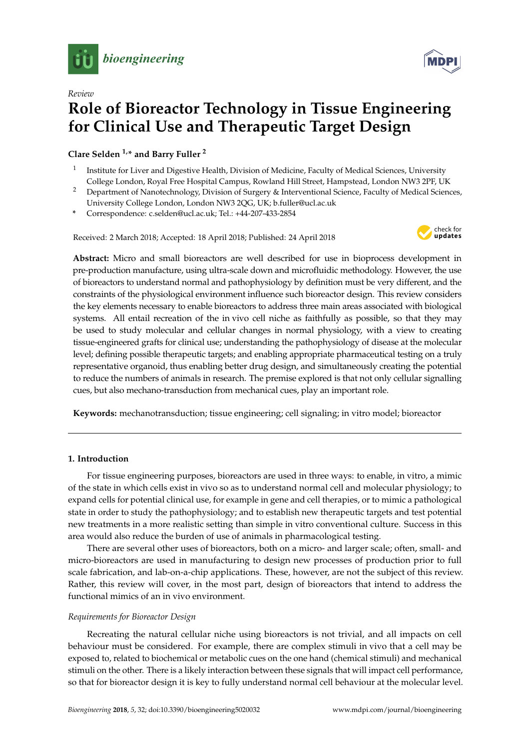



# *Review* **Role of Bioreactor Technology in Tissue Engineering for Clinical Use and Therapeutic Target Design**

**Clare Selden 1,\* and Barry Fuller <sup>2</sup>**

- 1 Institute for Liver and Digestive Health, Division of Medicine, Faculty of Medical Sciences, University College London, Royal Free Hospital Campus, Rowland Hill Street, Hampstead, London NW3 2PF, UK
- <sup>2</sup> Department of Nanotechnology, Division of Surgery & Interventional Science, Faculty of Medical Sciences, University College London, London NW3 2QG, UK; b.fuller@ucl.ac.uk
- **\*** Correspondence: c.selden@ucl.ac.uk; Tel.: +44-207-433-2854

Received: 2 March 2018; Accepted: 18 April 2018; Published: 24 April 2018



**Abstract:** Micro and small bioreactors are well described for use in bioprocess development in pre-production manufacture, using ultra-scale down and microfluidic methodology. However, the use of bioreactors to understand normal and pathophysiology by definition must be very different, and the constraints of the physiological environment influence such bioreactor design. This review considers the key elements necessary to enable bioreactors to address three main areas associated with biological systems. All entail recreation of the in vivo cell niche as faithfully as possible, so that they may be used to study molecular and cellular changes in normal physiology, with a view to creating tissue-engineered grafts for clinical use; understanding the pathophysiology of disease at the molecular level; defining possible therapeutic targets; and enabling appropriate pharmaceutical testing on a truly representative organoid, thus enabling better drug design, and simultaneously creating the potential to reduce the numbers of animals in research. The premise explored is that not only cellular signalling cues, but also mechano-transduction from mechanical cues, play an important role.

**Keywords:** mechanotransduction; tissue engineering; cell signaling; in vitro model; bioreactor

# **1. Introduction**

For tissue engineering purposes, bioreactors are used in three ways: to enable, in vitro, a mimic of the state in which cells exist in vivo so as to understand normal cell and molecular physiology; to expand cells for potential clinical use, for example in gene and cell therapies, or to mimic a pathological state in order to study the pathophysiology; and to establish new therapeutic targets and test potential new treatments in a more realistic setting than simple in vitro conventional culture. Success in this area would also reduce the burden of use of animals in pharmacological testing.

There are several other uses of bioreactors, both on a micro- and larger scale; often, small- and micro-bioreactors are used in manufacturing to design new processes of production prior to full scale fabrication, and lab-on-a-chip applications. These, however, are not the subject of this review. Rather, this review will cover, in the most part, design of bioreactors that intend to address the functional mimics of an in vivo environment.

# *Requirements for Bioreactor Design*

Recreating the natural cellular niche using bioreactors is not trivial, and all impacts on cell behaviour must be considered. For example, there are complex stimuli in vivo that a cell may be exposed to, related to biochemical or metabolic cues on the one hand (chemical stimuli) and mechanical stimuli on the other. There is a likely interaction between these signals that will impact cell performance, so that for bioreactor design it is key to fully understand normal cell behaviour at the molecular level.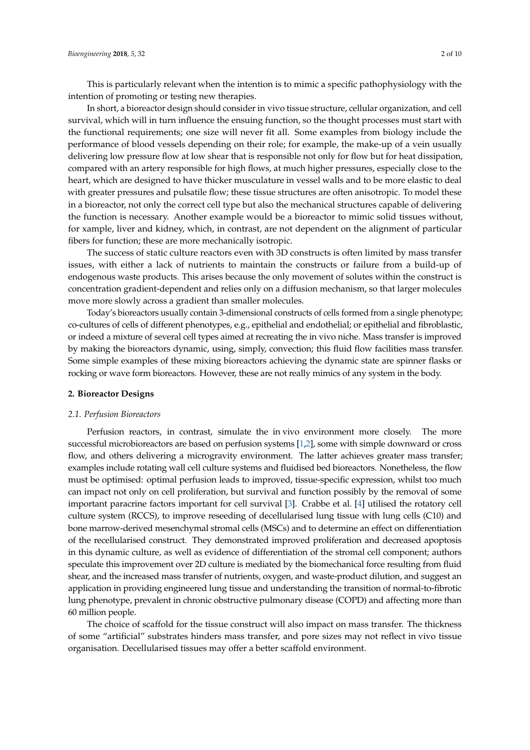This is particularly relevant when the intention is to mimic a specific pathophysiology with the intention of promoting or testing new therapies.

In short, a bioreactor design should consider in vivo tissue structure, cellular organization, and cell survival, which will in turn influence the ensuing function, so the thought processes must start with the functional requirements; one size will never fit all. Some examples from biology include the performance of blood vessels depending on their role; for example, the make-up of a vein usually delivering low pressure flow at low shear that is responsible not only for flow but for heat dissipation, compared with an artery responsible for high flows, at much higher pressures, especially close to the heart, which are designed to have thicker musculature in vessel walls and to be more elastic to deal with greater pressures and pulsatile flow; these tissue structures are often anisotropic. To model these in a bioreactor, not only the correct cell type but also the mechanical structures capable of delivering the function is necessary. Another example would be a bioreactor to mimic solid tissues without, for xample, liver and kidney, which, in contrast, are not dependent on the alignment of particular fibers for function; these are more mechanically isotropic.

The success of static culture reactors even with 3D constructs is often limited by mass transfer issues, with either a lack of nutrients to maintain the constructs or failure from a build-up of endogenous waste products. This arises because the only movement of solutes within the construct is concentration gradient-dependent and relies only on a diffusion mechanism, so that larger molecules move more slowly across a gradient than smaller molecules.

Today's bioreactors usually contain 3-dimensional constructs of cells formed from a single phenotype; co-cultures of cells of different phenotypes, e.g., epithelial and endothelial; or epithelial and fibroblastic, or indeed a mixture of several cell types aimed at recreating the in vivo niche. Mass transfer is improved by making the bioreactors dynamic, using, simply, convection; this fluid flow facilities mass transfer. Some simple examples of these mixing bioreactors achieving the dynamic state are spinner flasks or rocking or wave form bioreactors. However, these are not really mimics of any system in the body.

## **2. Bioreactor Designs**

#### *2.1. Perfusion Bioreactors*

Perfusion reactors, in contrast, simulate the in vivo environment more closely. The more successful microbioreactors are based on perfusion systems [\[1](#page-6-0)[,2\]](#page-6-1), some with simple downward or cross flow, and others delivering a microgravity environment. The latter achieves greater mass transfer; examples include rotating wall cell culture systems and fluidised bed bioreactors. Nonetheless, the flow must be optimised: optimal perfusion leads to improved, tissue-specific expression, whilst too much can impact not only on cell proliferation, but survival and function possibly by the removal of some important paracrine factors important for cell survival [\[3\]](#page-6-2). Crabbe et al. [\[4\]](#page-6-3) utilised the rotatory cell culture system (RCCS), to improve reseeding of decellularised lung tissue with lung cells (C10) and bone marrow-derived mesenchymal stromal cells (MSCs) and to determine an effect on differentiation of the recellularised construct. They demonstrated improved proliferation and decreased apoptosis in this dynamic culture, as well as evidence of differentiation of the stromal cell component; authors speculate this improvement over 2D culture is mediated by the biomechanical force resulting from fluid shear, and the increased mass transfer of nutrients, oxygen, and waste-product dilution, and suggest an application in providing engineered lung tissue and understanding the transition of normal-to-fibrotic lung phenotype, prevalent in chronic obstructive pulmonary disease (COPD) and affecting more than 60 million people.

The choice of scaffold for the tissue construct will also impact on mass transfer. The thickness of some "artificial" substrates hinders mass transfer, and pore sizes may not reflect in vivo tissue organisation. Decellularised tissues may offer a better scaffold environment.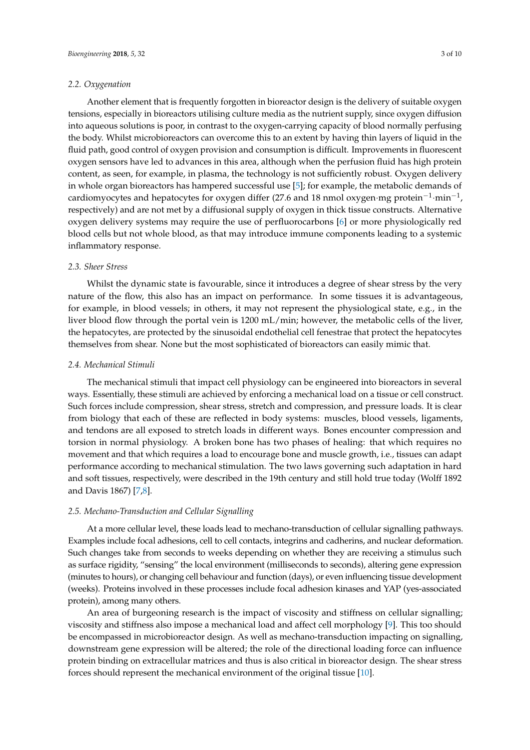## *2.2. Oxygenation*

Another element that is frequently forgotten in bioreactor design is the delivery of suitable oxygen tensions, especially in bioreactors utilising culture media as the nutrient supply, since oxygen diffusion into aqueous solutions is poor, in contrast to the oxygen-carrying capacity of blood normally perfusing the body. Whilst microbioreactors can overcome this to an extent by having thin layers of liquid in the fluid path, good control of oxygen provision and consumption is difficult. Improvements in fluorescent oxygen sensors have led to advances in this area, although when the perfusion fluid has high protein content, as seen, for example, in plasma, the technology is not sufficiently robust. Oxygen delivery in whole organ bioreactors has hampered successful use [\[5\]](#page-6-4); for example, the metabolic demands of cardiomyocytes and hepatocytes for oxygen differ (27.6 and 18 nmol oxygen·mg protein<sup>-1</sup>·min<sup>-1</sup>, respectively) and are not met by a diffusional supply of oxygen in thick tissue constructs. Alternative oxygen delivery systems may require the use of perfluorocarbons [\[6\]](#page-6-5) or more physiologically red blood cells but not whole blood, as that may introduce immune components leading to a systemic inflammatory response.

## *2.3. Sheer Stress*

Whilst the dynamic state is favourable, since it introduces a degree of shear stress by the very nature of the flow, this also has an impact on performance. In some tissues it is advantageous, for example, in blood vessels; in others, it may not represent the physiological state, e.g., in the liver blood flow through the portal vein is 1200 mL/min; however, the metabolic cells of the liver, the hepatocytes, are protected by the sinusoidal endothelial cell fenestrae that protect the hepatocytes themselves from shear. None but the most sophisticated of bioreactors can easily mimic that.

## *2.4. Mechanical Stimuli*

The mechanical stimuli that impact cell physiology can be engineered into bioreactors in several ways. Essentially, these stimuli are achieved by enforcing a mechanical load on a tissue or cell construct. Such forces include compression, shear stress, stretch and compression, and pressure loads. It is clear from biology that each of these are reflected in body systems: muscles, blood vessels, ligaments, and tendons are all exposed to stretch loads in different ways. Bones encounter compression and torsion in normal physiology. A broken bone has two phases of healing: that which requires no movement and that which requires a load to encourage bone and muscle growth, i.e., tissues can adapt performance according to mechanical stimulation. The two laws governing such adaptation in hard and soft tissues, respectively, were described in the 19th century and still hold true today (Wolff 1892 and Davis 1867) [\[7](#page-6-6)[,8\]](#page-6-7).

## *2.5. Mechano-Transduction and Cellular Signalling*

At a more cellular level, these loads lead to mechano-transduction of cellular signalling pathways. Examples include focal adhesions, cell to cell contacts, integrins and cadherins, and nuclear deformation. Such changes take from seconds to weeks depending on whether they are receiving a stimulus such as surface rigidity, "sensing" the local environment (milliseconds to seconds), altering gene expression (minutes to hours), or changing cell behaviour and function (days), or even influencing tissue development (weeks). Proteins involved in these processes include focal adhesion kinases and YAP (yes-associated protein), among many others.

An area of burgeoning research is the impact of viscosity and stiffness on cellular signalling; viscosity and stiffness also impose a mechanical load and affect cell morphology [\[9\]](#page-6-8). This too should be encompassed in microbioreactor design. As well as mechano-transduction impacting on signalling, downstream gene expression will be altered; the role of the directional loading force can influence protein binding on extracellular matrices and thus is also critical in bioreactor design. The shear stress forces should represent the mechanical environment of the original tissue [\[10\]](#page-7-0).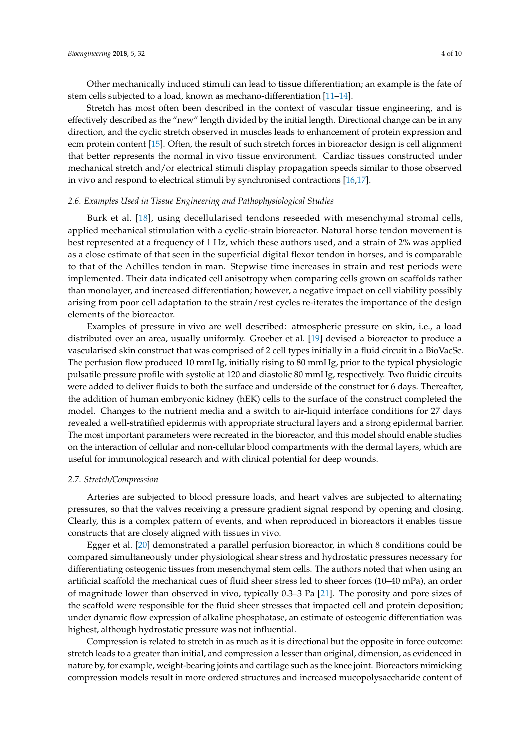Other mechanically induced stimuli can lead to tissue differentiation; an example is the fate of stem cells subjected to a load, known as mechano-differentiation [\[11–](#page-7-1)[14\]](#page-7-2).

Stretch has most often been described in the context of vascular tissue engineering, and is effectively described as the "new" length divided by the initial length. Directional change can be in any direction, and the cyclic stretch observed in muscles leads to enhancement of protein expression and ecm protein content [\[15\]](#page-7-3). Often, the result of such stretch forces in bioreactor design is cell alignment that better represents the normal in vivo tissue environment. Cardiac tissues constructed under mechanical stretch and/or electrical stimuli display propagation speeds similar to those observed in vivo and respond to electrical stimuli by synchronised contractions [\[16,](#page-7-4)[17\]](#page-7-5).

#### *2.6. Examples Used in Tissue Engineering and Pathophysiological Studies*

Burk et al. [\[18\]](#page-7-6), using decellularised tendons reseeded with mesenchymal stromal cells, applied mechanical stimulation with a cyclic-strain bioreactor. Natural horse tendon movement is best represented at a frequency of 1 Hz, which these authors used, and a strain of 2% was applied as a close estimate of that seen in the superficial digital flexor tendon in horses, and is comparable to that of the Achilles tendon in man. Stepwise time increases in strain and rest periods were implemented. Their data indicated cell anisotropy when comparing cells grown on scaffolds rather than monolayer, and increased differentiation; however, a negative impact on cell viability possibly arising from poor cell adaptation to the strain/rest cycles re-iterates the importance of the design elements of the bioreactor.

Examples of pressure in vivo are well described: atmospheric pressure on skin, i.e., a load distributed over an area, usually uniformly. Groeber et al. [\[19\]](#page-7-7) devised a bioreactor to produce a vascularised skin construct that was comprised of 2 cell types initially in a fluid circuit in a BioVacSc. The perfusion flow produced 10 mmHg, initially rising to 80 mmHg, prior to the typical physiologic pulsatile pressure profile with systolic at 120 and diastolic 80 mmHg, respectively. Two fluidic circuits were added to deliver fluids to both the surface and underside of the construct for 6 days. Thereafter, the addition of human embryonic kidney (hEK) cells to the surface of the construct completed the model. Changes to the nutrient media and a switch to air-liquid interface conditions for 27 days revealed a well-stratified epidermis with appropriate structural layers and a strong epidermal barrier. The most important parameters were recreated in the bioreactor, and this model should enable studies on the interaction of cellular and non-cellular blood compartments with the dermal layers, which are useful for immunological research and with clinical potential for deep wounds.

#### *2.7. Stretch/Compression*

Arteries are subjected to blood pressure loads, and heart valves are subjected to alternating pressures, so that the valves receiving a pressure gradient signal respond by opening and closing. Clearly, this is a complex pattern of events, and when reproduced in bioreactors it enables tissue constructs that are closely aligned with tissues in vivo.

Egger et al. [\[20\]](#page-7-8) demonstrated a parallel perfusion bioreactor, in which 8 conditions could be compared simultaneously under physiological shear stress and hydrostatic pressures necessary for differentiating osteogenic tissues from mesenchymal stem cells. The authors noted that when using an artificial scaffold the mechanical cues of fluid sheer stress led to sheer forces (10–40 mPa), an order of magnitude lower than observed in vivo, typically 0.3–3 Pa [\[21\]](#page-7-9). The porosity and pore sizes of the scaffold were responsible for the fluid sheer stresses that impacted cell and protein deposition; under dynamic flow expression of alkaline phosphatase, an estimate of osteogenic differentiation was highest, although hydrostatic pressure was not influential.

Compression is related to stretch in as much as it is directional but the opposite in force outcome: stretch leads to a greater than initial, and compression a lesser than original, dimension, as evidenced in nature by, for example, weight-bearing joints and cartilage such as the knee joint. Bioreactors mimicking compression models result in more ordered structures and increased mucopolysaccharide content of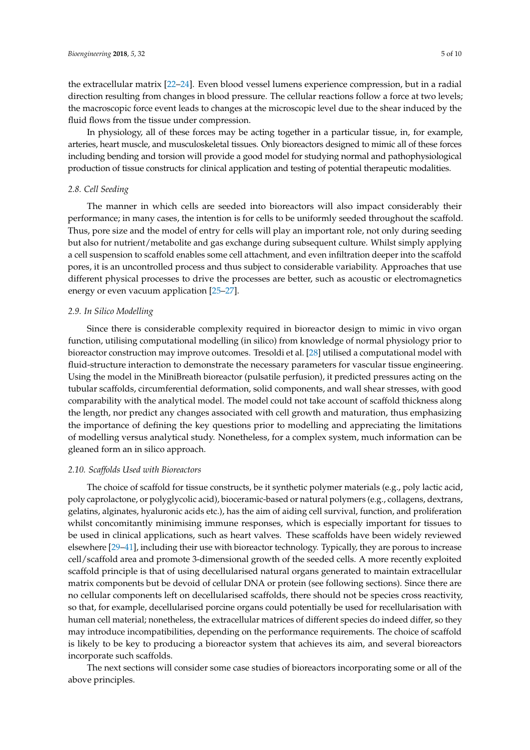the extracellular matrix [\[22–](#page-7-10)[24\]](#page-7-11). Even blood vessel lumens experience compression, but in a radial direction resulting from changes in blood pressure. The cellular reactions follow a force at two levels; the macroscopic force event leads to changes at the microscopic level due to the shear induced by the fluid flows from the tissue under compression.

In physiology, all of these forces may be acting together in a particular tissue, in, for example, arteries, heart muscle, and musculoskeletal tissues. Only bioreactors designed to mimic all of these forces including bending and torsion will provide a good model for studying normal and pathophysiological production of tissue constructs for clinical application and testing of potential therapeutic modalities.

## *2.8. Cell Seeding*

The manner in which cells are seeded into bioreactors will also impact considerably their performance; in many cases, the intention is for cells to be uniformly seeded throughout the scaffold. Thus, pore size and the model of entry for cells will play an important role, not only during seeding but also for nutrient/metabolite and gas exchange during subsequent culture. Whilst simply applying a cell suspension to scaffold enables some cell attachment, and even infiltration deeper into the scaffold pores, it is an uncontrolled process and thus subject to considerable variability. Approaches that use different physical processes to drive the processes are better, such as acoustic or electromagnetics energy or even vacuum application [\[25](#page-7-12)[–27\]](#page-7-13).

## *2.9. In Silico Modelling*

Since there is considerable complexity required in bioreactor design to mimic in vivo organ function, utilising computational modelling (in silico) from knowledge of normal physiology prior to bioreactor construction may improve outcomes. Tresoldi et al. [\[28\]](#page-7-14) utilised a computational model with fluid-structure interaction to demonstrate the necessary parameters for vascular tissue engineering. Using the model in the MiniBreath bioreactor (pulsatile perfusion), it predicted pressures acting on the tubular scaffolds, circumferential deformation, solid components, and wall shear stresses, with good comparability with the analytical model. The model could not take account of scaffold thickness along the length, nor predict any changes associated with cell growth and maturation, thus emphasizing the importance of defining the key questions prior to modelling and appreciating the limitations of modelling versus analytical study. Nonetheless, for a complex system, much information can be gleaned form an in silico approach.

## *2.10. Scaffolds Used with Bioreactors*

The choice of scaffold for tissue constructs, be it synthetic polymer materials (e.g., poly lactic acid, poly caprolactone, or polyglycolic acid), bioceramic-based or natural polymers (e.g., collagens, dextrans, gelatins, alginates, hyaluronic acids etc.), has the aim of aiding cell survival, function, and proliferation whilst concomitantly minimising immune responses, which is especially important for tissues to be used in clinical applications, such as heart valves. These scaffolds have been widely reviewed elsewhere [\[29](#page-8-0)[–41\]](#page-8-1), including their use with bioreactor technology. Typically, they are porous to increase cell/scaffold area and promote 3-dimensional growth of the seeded cells. A more recently exploited scaffold principle is that of using decellularised natural organs generated to maintain extracellular matrix components but be devoid of cellular DNA or protein (see following sections). Since there are no cellular components left on decellularised scaffolds, there should not be species cross reactivity, so that, for example, decellularised porcine organs could potentially be used for recellularisation with human cell material; nonetheless, the extracellular matrices of different species do indeed differ, so they may introduce incompatibilities, depending on the performance requirements. The choice of scaffold is likely to be key to producing a bioreactor system that achieves its aim, and several bioreactors incorporate such scaffolds.

The next sections will consider some case studies of bioreactors incorporating some or all of the above principles.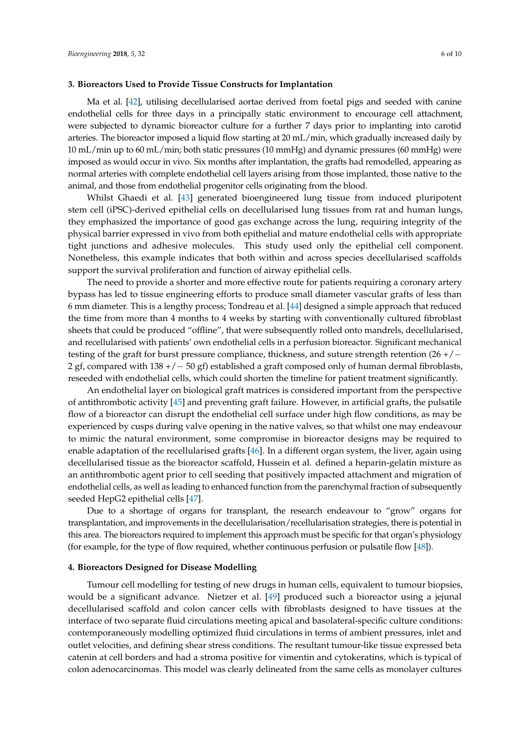## **3. Bioreactors Used to Provide Tissue Constructs for Implantation**

Ma et al. [\[42\]](#page-8-2), utilising decellularised aortae derived from foetal pigs and seeded with canine endothelial cells for three days in a principally static environment to encourage cell attachment, were subjected to dynamic bioreactor culture for a further 7 days prior to implanting into carotid arteries. The bioreactor imposed a liquid flow starting at 20 mL/min, which gradually increased daily by 10 mL/min up to 60 mL/min; both static pressures (10 mmHg) and dynamic pressures (60 mmHg) were imposed as would occur in vivo. Six months after implantation, the grafts had remodelled, appearing as normal arteries with complete endothelial cell layers arising from those implanted, those native to the animal, and those from endothelial progenitor cells originating from the blood.

Whilst Ghaedi et al. [\[43\]](#page-8-3) generated bioengineered lung tissue from induced pluripotent stem cell (iPSC)-derived epithelial cells on decellularised lung tissues from rat and human lungs, they emphasized the importance of good gas exchange across the lung, requiring integrity of the physical barrier expressed in vivo from both epithelial and mature endothelial cells with appropriate tight junctions and adhesive molecules. This study used only the epithelial cell component. Nonetheless, this example indicates that both within and across species decellularised scaffolds support the survival proliferation and function of airway epithelial cells.

The need to provide a shorter and more effective route for patients requiring a coronary artery bypass has led to tissue engineering efforts to produce small diameter vascular grafts of less than 6 mm diameter. This is a lengthy process; Tondreau et al. [\[44\]](#page-8-4) designed a simple approach that reduced the time from more than 4 months to 4 weeks by starting with conventionally cultured fibroblast sheets that could be produced "offline", that were subsequently rolled onto mandrels, decellularised, and recellularised with patients' own endothelial cells in a perfusion bioreactor. Significant mechanical testing of the graft for burst pressure compliance, thickness, and suture strength retention (26 +/− 2 gf, compared with 138 +/− 50 gf) established a graft composed only of human dermal fibroblasts, reseeded with endothelial cells, which could shorten the timeline for patient treatment significantly.

An endothelial layer on biological graft matrices is considered important from the perspective of antithrombotic activity [\[45\]](#page-8-5) and preventing graft failure. However, in artificial grafts, the pulsatile flow of a bioreactor can disrupt the endothelial cell surface under high flow conditions, as may be experienced by cusps during valve opening in the native valves, so that whilst one may endeavour to mimic the natural environment, some compromise in bioreactor designs may be required to enable adaptation of the recellularised grafts [\[46\]](#page-8-6). In a different organ system, the liver, again using decellularised tissue as the bioreactor scaffold, Hussein et al. defined a heparin-gelatin mixture as an antithrombotic agent prior to cell seeding that positively impacted attachment and migration of endothelial cells, as well as leading to enhanced function from the parenchymal fraction of subsequently seeded HepG2 epithelial cells [\[47\]](#page-8-7).

Due to a shortage of organs for transplant, the research endeavour to "grow" organs for transplantation, and improvements in the decellularisation/recellularisation strategies, there is potential in this area. The bioreactors required to implement this approach must be specific for that organ's physiology (for example, for the type of flow required, whether continuous perfusion or pulsatile flow [\[48\]](#page-8-8)).

#### **4. Bioreactors Designed for Disease Modelling**

Tumour cell modelling for testing of new drugs in human cells, equivalent to tumour biopsies, would be a significant advance. Nietzer et al. [\[49\]](#page-9-0) produced such a bioreactor using a jejunal decellularised scaffold and colon cancer cells with fibroblasts designed to have tissues at the interface of two separate fluid circulations meeting apical and basolateral-specific culture conditions: contemporaneously modelling optimized fluid circulations in terms of ambient pressures, inlet and outlet velocities, and defining shear stress conditions. The resultant tumour-like tissue expressed beta catenin at cell borders and had a stroma positive for vimentin and cytokeratins, which is typical of colon adenocarcinomas. This model was clearly delineated from the same cells as monolayer cultures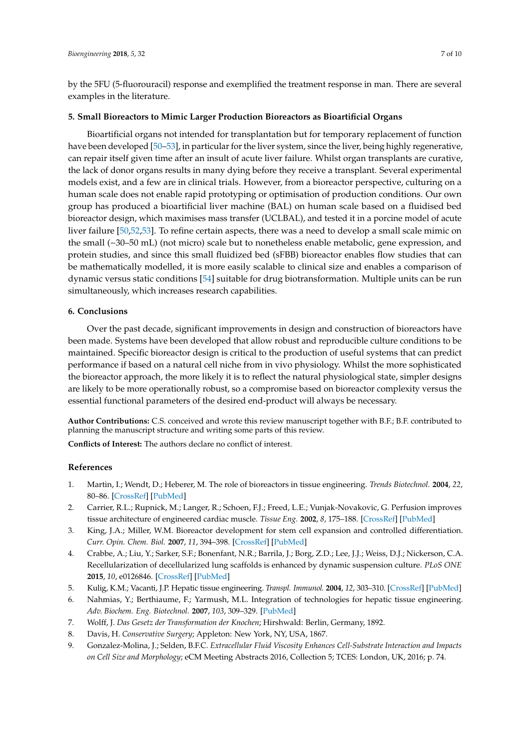by the 5FU (5-fluorouracil) response and exemplified the treatment response in man. There are several examples in the literature.

## **5. Small Bioreactors to Mimic Larger Production Bioreactors as Bioartificial Organs**

Bioartificial organs not intended for transplantation but for temporary replacement of function have been developed [\[50](#page-9-1)[–53\]](#page-9-2), in particular for the liver system, since the liver, being highly regenerative, can repair itself given time after an insult of acute liver failure. Whilst organ transplants are curative, the lack of donor organs results in many dying before they receive a transplant. Several experimental models exist, and a few are in clinical trials. However, from a bioreactor perspective, culturing on a human scale does not enable rapid prototyping or optimisation of production conditions. Our own group has produced a bioartificial liver machine (BAL) on human scale based on a fluidised bed bioreactor design, which maximises mass transfer (UCLBAL), and tested it in a porcine model of acute liver failure [\[50,](#page-9-1)[52,](#page-9-3)[53\]](#page-9-2). To refine certain aspects, there was a need to develop a small scale mimic on the small (~30–50 mL) (not micro) scale but to nonetheless enable metabolic, gene expression, and protein studies, and since this small fluidized bed (sFBB) bioreactor enables flow studies that can be mathematically modelled, it is more easily scalable to clinical size and enables a comparison of dynamic versus static conditions [\[54\]](#page-9-4) suitable for drug biotransformation. Multiple units can be run simultaneously, which increases research capabilities.

#### **6. Conclusions**

Over the past decade, significant improvements in design and construction of bioreactors have been made. Systems have been developed that allow robust and reproducible culture conditions to be maintained. Specific bioreactor design is critical to the production of useful systems that can predict performance if based on a natural cell niche from in vivo physiology. Whilst the more sophisticated the bioreactor approach, the more likely it is to reflect the natural physiological state, simpler designs are likely to be more operationally robust, so a compromise based on bioreactor complexity versus the essential functional parameters of the desired end-product will always be necessary.

**Author Contributions:** C.S. conceived and wrote this review manuscript together with B.F.; B.F. contributed to planning the manuscript structure and writing some parts of this review.

**Conflicts of Interest:** The authors declare no conflict of interest.

## **References**

- <span id="page-6-0"></span>1. Martin, I.; Wendt, D.; Heberer, M. The role of bioreactors in tissue engineering. *Trends Biotechnol.* **2004**, *22*, 80–86. [\[CrossRef\]](http://dx.doi.org/10.1016/j.tibtech.2003.12.001) [\[PubMed\]](http://www.ncbi.nlm.nih.gov/pubmed/14757042)
- <span id="page-6-1"></span>2. Carrier, R.L.; Rupnick, M.; Langer, R.; Schoen, F.J.; Freed, L.E.; Vunjak-Novakovic, G. Perfusion improves tissue architecture of engineered cardiac muscle. *Tissue Eng.* **2002**, *8*, 175–188. [\[CrossRef\]](http://dx.doi.org/10.1089/107632702753724950) [\[PubMed\]](http://www.ncbi.nlm.nih.gov/pubmed/12031108)
- <span id="page-6-2"></span>3. King, J.A.; Miller, W.M. Bioreactor development for stem cell expansion and controlled differentiation. *Curr. Opin. Chem. Biol.* **2007**, *11*, 394–398. [\[CrossRef\]](http://dx.doi.org/10.1016/j.cbpa.2007.05.034) [\[PubMed\]](http://www.ncbi.nlm.nih.gov/pubmed/17656148)
- <span id="page-6-3"></span>4. Crabbe, A.; Liu, Y.; Sarker, S.F.; Bonenfant, N.R.; Barrila, J.; Borg, Z.D.; Lee, J.J.; Weiss, D.J.; Nickerson, C.A. Recellularization of decellularized lung scaffolds is enhanced by dynamic suspension culture. *PLoS ONE* **2015**, *10*, e0126846. [\[CrossRef\]](http://dx.doi.org/10.1371/journal.pone.0126846) [\[PubMed\]](http://www.ncbi.nlm.nih.gov/pubmed/25962111)
- <span id="page-6-4"></span>5. Kulig, K.M.; Vacanti, J.P. Hepatic tissue engineering. *Transpl. Immunol.* **2004**, *12*, 303–310. [\[CrossRef\]](http://dx.doi.org/10.1016/j.trim.2003.12.005) [\[PubMed\]](http://www.ncbi.nlm.nih.gov/pubmed/15157923)
- <span id="page-6-5"></span>6. Nahmias, Y.; Berthiaume, F.; Yarmush, M.L. Integration of technologies for hepatic tissue engineering. *Adv. Biochem. Eng. Biotechnol.* **2007**, *103*, 309–329. [\[PubMed\]](http://www.ncbi.nlm.nih.gov/pubmed/17195468)
- <span id="page-6-6"></span>7. Wolff, J. *Das Gesetz der Transformation der Knochen*; Hirshwald: Berlin, Germany, 1892.
- <span id="page-6-7"></span>8. Davis, H. *Conservative Surgery*; Appleton: New York, NY, USA, 1867.
- <span id="page-6-8"></span>9. Gonzalez-Molina, J.; Selden, B.F.C. *Extracellular Fluid Viscosity Enhances Cell-Substrate Interaction and Impacts on Cell Size and Morphology*; eCM Meeting Abstracts 2016, Collection 5; TCES: London, UK, 2016; p. 74.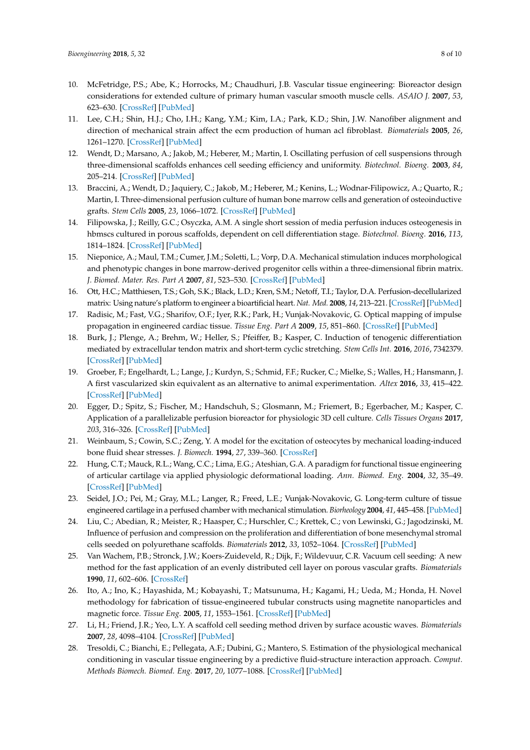- <span id="page-7-0"></span>10. McFetridge, P.S.; Abe, K.; Horrocks, M.; Chaudhuri, J.B. Vascular tissue engineering: Bioreactor design considerations for extended culture of primary human vascular smooth muscle cells. *ASAIO J.* **2007**, *53*, 623–630. [\[CrossRef\]](http://dx.doi.org/10.1097/MAT.0b013e31812f3b7e) [\[PubMed\]](http://www.ncbi.nlm.nih.gov/pubmed/17885337)
- <span id="page-7-1"></span>11. Lee, C.H.; Shin, H.J.; Cho, I.H.; Kang, Y.M.; Kim, I.A.; Park, K.D.; Shin, J.W. Nanofiber alignment and direction of mechanical strain affect the ecm production of human acl fibroblast. *Biomaterials* **2005**, *26*, 1261–1270. [\[CrossRef\]](http://dx.doi.org/10.1016/j.biomaterials.2004.04.037) [\[PubMed\]](http://www.ncbi.nlm.nih.gov/pubmed/15475056)
- 12. Wendt, D.; Marsano, A.; Jakob, M.; Heberer, M.; Martin, I. Oscillating perfusion of cell suspensions through three-dimensional scaffolds enhances cell seeding efficiency and uniformity. *Biotechnol. Bioeng.* **2003**, *84*, 205–214. [\[CrossRef\]](http://dx.doi.org/10.1002/bit.10759) [\[PubMed\]](http://www.ncbi.nlm.nih.gov/pubmed/12966577)
- 13. Braccini, A.; Wendt, D.; Jaquiery, C.; Jakob, M.; Heberer, M.; Kenins, L.; Wodnar-Filipowicz, A.; Quarto, R.; Martin, I. Three-dimensional perfusion culture of human bone marrow cells and generation of osteoinductive grafts. *Stem Cells* **2005**, *23*, 1066–1072. [\[CrossRef\]](http://dx.doi.org/10.1634/stemcells.2005-0002) [\[PubMed\]](http://www.ncbi.nlm.nih.gov/pubmed/16002780)
- <span id="page-7-2"></span>14. Filipowska, J.; Reilly, G.C.; Osyczka, A.M. A single short session of media perfusion induces osteogenesis in hbmscs cultured in porous scaffolds, dependent on cell differentiation stage. *Biotechnol. Bioeng.* **2016**, *113*, 1814–1824. [\[CrossRef\]](http://dx.doi.org/10.1002/bit.25937) [\[PubMed\]](http://www.ncbi.nlm.nih.gov/pubmed/26806539)
- <span id="page-7-3"></span>15. Nieponice, A.; Maul, T.M.; Cumer, J.M.; Soletti, L.; Vorp, D.A. Mechanical stimulation induces morphological and phenotypic changes in bone marrow-derived progenitor cells within a three-dimensional fibrin matrix. *J. Biomed. Mater. Res. Part A* **2007**, *81*, 523–530. [\[CrossRef\]](http://dx.doi.org/10.1002/jbm.a.31041) [\[PubMed\]](http://www.ncbi.nlm.nih.gov/pubmed/17133453)
- <span id="page-7-4"></span>16. Ott, H.C.; Matthiesen, T.S.; Goh, S.K.; Black, L.D.; Kren, S.M.; Netoff, T.I.; Taylor, D.A. Perfusion-decellularized matrix: Using nature's platform to engineer a bioartificial heart. *Nat. Med.* **2008**, *14*, 213–221. [\[CrossRef\]](http://dx.doi.org/10.1038/nm1684) [\[PubMed\]](http://www.ncbi.nlm.nih.gov/pubmed/18193059)
- <span id="page-7-5"></span>17. Radisic, M.; Fast, V.G.; Sharifov, O.F.; Iyer, R.K.; Park, H.; Vunjak-Novakovic, G. Optical mapping of impulse propagation in engineered cardiac tissue. *Tissue Eng. Part A* **2009**, *15*, 851–860. [\[CrossRef\]](http://dx.doi.org/10.1089/ten.tea.2008.0223) [\[PubMed\]](http://www.ncbi.nlm.nih.gov/pubmed/18847360)
- <span id="page-7-6"></span>18. Burk, J.; Plenge, A.; Brehm, W.; Heller, S.; Pfeiffer, B.; Kasper, C. Induction of tenogenic differentiation mediated by extracellular tendon matrix and short-term cyclic stretching. *Stem Cells Int.* **2016**, *2016*, 7342379. [\[CrossRef\]](http://dx.doi.org/10.1155/2016/7342379) [\[PubMed\]](http://www.ncbi.nlm.nih.gov/pubmed/27630718)
- <span id="page-7-7"></span>19. Groeber, F.; Engelhardt, L.; Lange, J.; Kurdyn, S.; Schmid, F.F.; Rucker, C.; Mielke, S.; Walles, H.; Hansmann, J. A first vascularized skin equivalent as an alternative to animal experimentation. *Altex* **2016**, *33*, 415–422. [\[CrossRef\]](http://dx.doi.org/10.14573/altex.1604041) [\[PubMed\]](http://www.ncbi.nlm.nih.gov/pubmed/27180196)
- <span id="page-7-8"></span>20. Egger, D.; Spitz, S.; Fischer, M.; Handschuh, S.; Glosmann, M.; Friemert, B.; Egerbacher, M.; Kasper, C. Application of a parallelizable perfusion bioreactor for physiologic 3D cell culture. *Cells Tissues Organs* **2017**, *203*, 316–326. [\[CrossRef\]](http://dx.doi.org/10.1159/000457792) [\[PubMed\]](http://www.ncbi.nlm.nih.gov/pubmed/28291964)
- <span id="page-7-9"></span>21. Weinbaum, S.; Cowin, S.C.; Zeng, Y. A model for the excitation of osteocytes by mechanical loading-induced bone fluid shear stresses. *J. Biomech.* **1994**, *27*, 339–360. [\[CrossRef\]](http://dx.doi.org/10.1016/0021-9290(94)90010-8)
- <span id="page-7-10"></span>22. Hung, C.T.; Mauck, R.L.; Wang, C.C.; Lima, E.G.; Ateshian, G.A. A paradigm for functional tissue engineering of articular cartilage via applied physiologic deformational loading. *Ann. Biomed. Eng.* **2004**, *32*, 35–49. [\[CrossRef\]](http://dx.doi.org/10.1023/B:ABME.0000007789.99565.42) [\[PubMed\]](http://www.ncbi.nlm.nih.gov/pubmed/14964720)
- 23. Seidel, J.O.; Pei, M.; Gray, M.L.; Langer, R.; Freed, L.E.; Vunjak-Novakovic, G. Long-term culture of tissue engineered cartilage in a perfused chamber with mechanical stimulation. *Biorheology* **2004**, *41*, 445–458. [\[PubMed\]](http://www.ncbi.nlm.nih.gov/pubmed/15299276)
- <span id="page-7-11"></span>24. Liu, C.; Abedian, R.; Meister, R.; Haasper, C.; Hurschler, C.; Krettek, C.; von Lewinski, G.; Jagodzinski, M. Influence of perfusion and compression on the proliferation and differentiation of bone mesenchymal stromal cells seeded on polyurethane scaffolds. *Biomaterials* **2012**, *33*, 1052–1064. [\[CrossRef\]](http://dx.doi.org/10.1016/j.biomaterials.2011.10.041) [\[PubMed\]](http://www.ncbi.nlm.nih.gov/pubmed/22056755)
- <span id="page-7-12"></span>25. Van Wachem, P.B.; Stronck, J.W.; Koers-Zuideveld, R.; Dijk, F.; Wildevuur, C.R. Vacuum cell seeding: A new method for the fast application of an evenly distributed cell layer on porous vascular grafts. *Biomaterials* **1990**, *11*, 602–606. [\[CrossRef\]](http://dx.doi.org/10.1016/0142-9612(90)90086-6)
- 26. Ito, A.; Ino, K.; Hayashida, M.; Kobayashi, T.; Matsunuma, H.; Kagami, H.; Ueda, M.; Honda, H. Novel methodology for fabrication of tissue-engineered tubular constructs using magnetite nanoparticles and magnetic force. *Tissue Eng.* **2005**, *11*, 1553–1561. [\[CrossRef\]](http://dx.doi.org/10.1089/ten.2005.11.1553) [\[PubMed\]](http://www.ncbi.nlm.nih.gov/pubmed/16259609)
- <span id="page-7-13"></span>27. Li, H.; Friend, J.R.; Yeo, L.Y. A scaffold cell seeding method driven by surface acoustic waves. *Biomaterials* **2007**, *28*, 4098–4104. [\[CrossRef\]](http://dx.doi.org/10.1016/j.biomaterials.2007.06.005) [\[PubMed\]](http://www.ncbi.nlm.nih.gov/pubmed/17588654)
- <span id="page-7-14"></span>28. Tresoldi, C.; Bianchi, E.; Pellegata, A.F.; Dubini, G.; Mantero, S. Estimation of the physiological mechanical conditioning in vascular tissue engineering by a predictive fluid-structure interaction approach. *Comput. Methods Biomech. Biomed. Eng.* **2017**, *20*, 1077–1088. [\[CrossRef\]](http://dx.doi.org/10.1080/10255842.2017.1332192) [\[PubMed\]](http://www.ncbi.nlm.nih.gov/pubmed/28569086)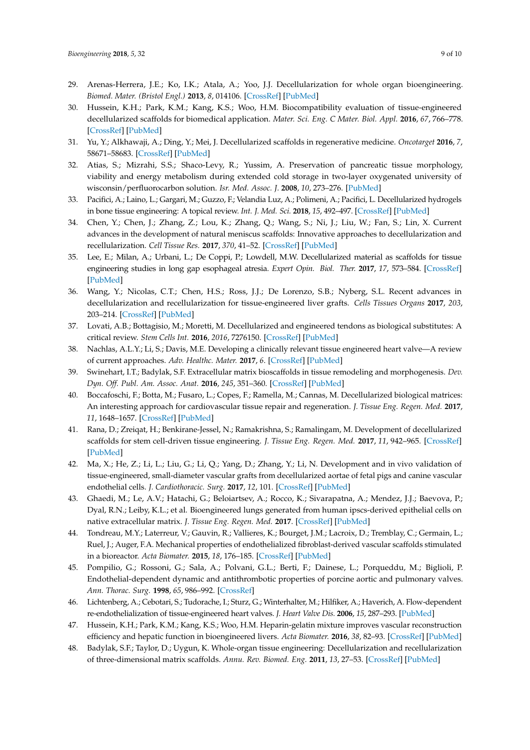- <span id="page-8-0"></span>29. Arenas-Herrera, J.E.; Ko, I.K.; Atala, A.; Yoo, J.J. Decellularization for whole organ bioengineering. *Biomed. Mater. (Bristol Engl.)* **2013**, *8*, 014106. [\[CrossRef\]](http://dx.doi.org/10.1088/1748-6041/8/1/014106) [\[PubMed\]](http://www.ncbi.nlm.nih.gov/pubmed/23353764)
- 30. Hussein, K.H.; Park, K.M.; Kang, K.S.; Woo, H.M. Biocompatibility evaluation of tissue-engineered decellularized scaffolds for biomedical application. *Mater. Sci. Eng. C Mater. Biol. Appl.* **2016**, *67*, 766–778. [\[CrossRef\]](http://dx.doi.org/10.1016/j.msec.2016.05.068) [\[PubMed\]](http://www.ncbi.nlm.nih.gov/pubmed/27287176)
- 31. Yu, Y.; Alkhawaji, A.; Ding, Y.; Mei, J. Decellularized scaffolds in regenerative medicine. *Oncotarget* **2016**, *7*, 58671–58683. [\[CrossRef\]](http://dx.doi.org/10.18632/oncotarget.10945) [\[PubMed\]](http://www.ncbi.nlm.nih.gov/pubmed/27486772)
- 32. Atias, S.; Mizrahi, S.S.; Shaco-Levy, R.; Yussim, A. Preservation of pancreatic tissue morphology, viability and energy metabolism during extended cold storage in two-layer oxygenated university of wisconsin/perfluorocarbon solution. *Isr. Med. Assoc. J.* **2008**, *10*, 273–276. [\[PubMed\]](http://www.ncbi.nlm.nih.gov/pubmed/18548980)
- 33. Pacifici, A.; Laino, L.; Gargari, M.; Guzzo, F.; Velandia Luz, A.; Polimeni, A.; Pacifici, L. Decellularized hydrogels in bone tissue engineering: A topical review. *Int. J. Med. Sci.* **2018**, *15*, 492–497. [\[CrossRef\]](http://dx.doi.org/10.7150/ijms.22789) [\[PubMed\]](http://www.ncbi.nlm.nih.gov/pubmed/29559838)
- 34. Chen, Y.; Chen, J.; Zhang, Z.; Lou, K.; Zhang, Q.; Wang, S.; Ni, J.; Liu, W.; Fan, S.; Lin, X. Current advances in the development of natural meniscus scaffolds: Innovative approaches to decellularization and recellularization. *Cell Tissue Res.* **2017**, *370*, 41–52. [\[CrossRef\]](http://dx.doi.org/10.1007/s00441-017-2605-0) [\[PubMed\]](http://www.ncbi.nlm.nih.gov/pubmed/28364144)
- 35. Lee, E.; Milan, A.; Urbani, L.; De Coppi, P.; Lowdell, M.W. Decellularized material as scaffolds for tissue engineering studies in long gap esophageal atresia. *Expert Opin. Biol. Ther.* **2017**, *17*, 573–584. [\[CrossRef\]](http://dx.doi.org/10.1080/14712598.2017.1308482) [\[PubMed\]](http://www.ncbi.nlm.nih.gov/pubmed/28303723)
- 36. Wang, Y.; Nicolas, C.T.; Chen, H.S.; Ross, J.J.; De Lorenzo, S.B.; Nyberg, S.L. Recent advances in decellularization and recellularization for tissue-engineered liver grafts. *Cells Tissues Organs* **2017**, *203*, 203–214. [\[CrossRef\]](http://dx.doi.org/10.1159/000452761) [\[PubMed\]](http://www.ncbi.nlm.nih.gov/pubmed/28030865)
- 37. Lovati, A.B.; Bottagisio, M.; Moretti, M. Decellularized and engineered tendons as biological substitutes: A critical review. *Stem Cells Int.* **2016**, *2016*, 7276150. [\[CrossRef\]](http://dx.doi.org/10.1155/2016/7276150) [\[PubMed\]](http://www.ncbi.nlm.nih.gov/pubmed/26880985)
- 38. Nachlas, A.L.Y.; Li, S.; Davis, M.E. Developing a clinically relevant tissue engineered heart valve—A review of current approaches. *Adv. Healthc. Mater.* **2017**, *6*. [\[CrossRef\]](http://dx.doi.org/10.1002/adhm.201700918) [\[PubMed\]](http://www.ncbi.nlm.nih.gov/pubmed/29171921)
- 39. Swinehart, I.T.; Badylak, S.F. Extracellular matrix bioscaffolds in tissue remodeling and morphogenesis. *Dev. Dyn. Off. Publ. Am. Assoc. Anat.* **2016**, *245*, 351–360. [\[CrossRef\]](http://dx.doi.org/10.1002/dvdy.24379) [\[PubMed\]](http://www.ncbi.nlm.nih.gov/pubmed/26699796)
- 40. Boccafoschi, F.; Botta, M.; Fusaro, L.; Copes, F.; Ramella, M.; Cannas, M. Decellularized biological matrices: An interesting approach for cardiovascular tissue repair and regeneration. *J. Tissue Eng. Regen. Med.* **2017**, *11*, 1648–1657. [\[CrossRef\]](http://dx.doi.org/10.1002/term.2103) [\[PubMed\]](http://www.ncbi.nlm.nih.gov/pubmed/26511323)
- <span id="page-8-1"></span>41. Rana, D.; Zreiqat, H.; Benkirane-Jessel, N.; Ramakrishna, S.; Ramalingam, M. Development of decellularized scaffolds for stem cell-driven tissue engineering. *J. Tissue Eng. Regen. Med.* **2017**, *11*, 942–965. [\[CrossRef\]](http://dx.doi.org/10.1002/term.2061) [\[PubMed\]](http://www.ncbi.nlm.nih.gov/pubmed/26119160)
- <span id="page-8-2"></span>42. Ma, X.; He, Z.; Li, L.; Liu, G.; Li, Q.; Yang, D.; Zhang, Y.; Li, N. Development and in vivo validation of tissue-engineered, small-diameter vascular grafts from decellularized aortae of fetal pigs and canine vascular endothelial cells. *J. Cardiothoracic. Surg.* **2017**, *12*, 101. [\[CrossRef\]](http://dx.doi.org/10.1186/s13019-017-0661-x) [\[PubMed\]](http://www.ncbi.nlm.nih.gov/pubmed/29178903)
- <span id="page-8-3"></span>43. Ghaedi, M.; Le, A.V.; Hatachi, G.; Beloiartsev, A.; Rocco, K.; Sivarapatna, A.; Mendez, J.J.; Baevova, P.; Dyal, R.N.; Leiby, K.L.; et al. Bioengineered lungs generated from human ipscs-derived epithelial cells on native extracellular matrix. *J. Tissue Eng. Regen. Med.* **2017**. [\[CrossRef\]](http://dx.doi.org/10.1002/term.2589) [\[PubMed\]](http://www.ncbi.nlm.nih.gov/pubmed/29024475)
- <span id="page-8-4"></span>44. Tondreau, M.Y.; Laterreur, V.; Gauvin, R.; Vallieres, K.; Bourget, J.M.; Lacroix, D.; Tremblay, C.; Germain, L.; Ruel, J.; Auger, F.A. Mechanical properties of endothelialized fibroblast-derived vascular scaffolds stimulated in a bioreactor. *Acta Biomater.* **2015**, *18*, 176–185. [\[CrossRef\]](http://dx.doi.org/10.1016/j.actbio.2015.02.026) [\[PubMed\]](http://www.ncbi.nlm.nih.gov/pubmed/25749291)
- <span id="page-8-5"></span>45. Pompilio, G.; Rossoni, G.; Sala, A.; Polvani, G.L.; Berti, F.; Dainese, L.; Porqueddu, M.; Biglioli, P. Endothelial-dependent dynamic and antithrombotic properties of porcine aortic and pulmonary valves. *Ann. Thorac. Surg.* **1998**, *65*, 986–992. [\[CrossRef\]](http://dx.doi.org/10.1016/S0003-4975(98)00075-7)
- <span id="page-8-6"></span>46. Lichtenberg, A.; Cebotari, S.; Tudorache, I.; Sturz, G.; Winterhalter, M.; Hilfiker, A.; Haverich, A. Flow-dependent re-endothelialization of tissue-engineered heart valves. *J. Heart Valve Dis.* **2006**, *15*, 287–293. [\[PubMed\]](http://www.ncbi.nlm.nih.gov/pubmed/16607913)
- <span id="page-8-7"></span>47. Hussein, K.H.; Park, K.M.; Kang, K.S.; Woo, H.M. Heparin-gelatin mixture improves vascular reconstruction efficiency and hepatic function in bioengineered livers. *Acta Biomater.* **2016**, *38*, 82–93. [\[CrossRef\]](http://dx.doi.org/10.1016/j.actbio.2016.04.042) [\[PubMed\]](http://www.ncbi.nlm.nih.gov/pubmed/27134015)
- <span id="page-8-8"></span>48. Badylak, S.F.; Taylor, D.; Uygun, K. Whole-organ tissue engineering: Decellularization and recellularization of three-dimensional matrix scaffolds. *Annu. Rev. Biomed. Eng.* **2011**, *13*, 27–53. [\[CrossRef\]](http://dx.doi.org/10.1146/annurev-bioeng-071910-124743) [\[PubMed\]](http://www.ncbi.nlm.nih.gov/pubmed/21417722)